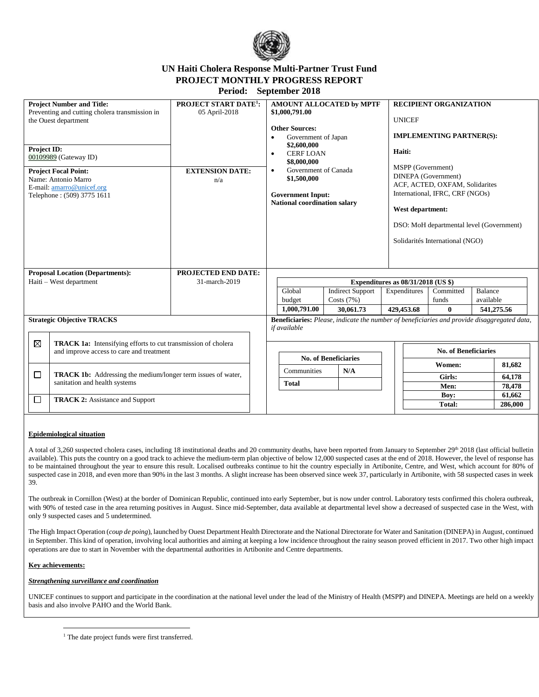

# **UN Haiti Cholera Response Multi-Partner Trust Fund PROJECT MONTHLY PROGRESS REPORT**

**Period: September 2018**

| <b>Project Number and Title:</b><br>Preventing and cutting cholera transmission in<br>the Ouest department<br><b>Project ID:</b><br>00109989 (Gateway ID)<br><b>Project Focal Point:</b><br>Name: Antonio Marro<br>E-mail: amarro@unicef.org<br>Telephone: (509) 3775 1611 |                                                                                                      | <b>PROJECT START DATE<sup>1</sup>:</b><br>05 April-2018<br><b>EXTENSION DATE:</b><br>n/a |             | AMOUNT ALLOCATED by MPTF<br>\$1,000,791.00<br><b>Other Sources:</b><br>Government of Japan<br>$\bullet$<br>\$2,600,000<br><b>CERF LOAN</b><br>$\bullet$<br>\$8,000,000<br>Government of Canada<br>$\bullet$<br>\$1,500,000<br><b>Government Input:</b><br><b>National coordination salary</b> |                             |                                                      |  | <b>RECIPIENT ORGANIZATION</b><br><b>UNICEF</b><br><b>IMPLEMENTING PARTNER(S):</b><br>Haiti:<br>MSPP (Government)<br>DINEPA (Government)<br>ACF, ACTED, OXFAM, Solidarites<br>International, IFRC, CRF (NGOs)<br>West department:<br>DSO: MoH departmental level (Government)<br>Solidarités International (NGO) |                                |                      |            |  |
|----------------------------------------------------------------------------------------------------------------------------------------------------------------------------------------------------------------------------------------------------------------------------|------------------------------------------------------------------------------------------------------|------------------------------------------------------------------------------------------|-------------|-----------------------------------------------------------------------------------------------------------------------------------------------------------------------------------------------------------------------------------------------------------------------------------------------|-----------------------------|------------------------------------------------------|--|-----------------------------------------------------------------------------------------------------------------------------------------------------------------------------------------------------------------------------------------------------------------------------------------------------------------|--------------------------------|----------------------|------------|--|
|                                                                                                                                                                                                                                                                            | <b>Proposal Location (Departments):</b><br>Haiti - West department                                   | <b>PROJECTED END DATE:</b><br>31-march-2019                                              |             |                                                                                                                                                                                                                                                                                               |                             | Expenditures as $08/31/2018$ (US \$)                 |  |                                                                                                                                                                                                                                                                                                                 |                                |                      |            |  |
|                                                                                                                                                                                                                                                                            |                                                                                                      |                                                                                          |             | Global<br>budget<br>1,000,791.00                                                                                                                                                                                                                                                              |                             | <b>Indirect Support</b><br>Costs $(7%)$<br>30.061.73 |  | Expenditures<br>429,453.68                                                                                                                                                                                                                                                                                      | Committed<br>funds<br>$\bf{0}$ | Balance<br>available | 541,275.56 |  |
|                                                                                                                                                                                                                                                                            | <b>Strategic Objective TRACKS</b>                                                                    |                                                                                          |             | <b>Beneficiaries:</b> Please, indicate the number of beneficiaries and provide disaggregated data,<br>if available                                                                                                                                                                            |                             |                                                      |  |                                                                                                                                                                                                                                                                                                                 |                                |                      |            |  |
| $\boxtimes$<br><b>TRACK 1a:</b> Intensifying efforts to cut transmission of cholera<br>and improve access to care and treatment                                                                                                                                            |                                                                                                      |                                                                                          |             |                                                                                                                                                                                                                                                                                               | <b>No. of Beneficiaries</b> |                                                      |  | <b>No. of Beneficiaries</b>                                                                                                                                                                                                                                                                                     |                                |                      |            |  |
|                                                                                                                                                                                                                                                                            |                                                                                                      |                                                                                          | Communities |                                                                                                                                                                                                                                                                                               |                             | N/A                                                  |  | Women:                                                                                                                                                                                                                                                                                                          |                                |                      | 81,682     |  |
| □                                                                                                                                                                                                                                                                          | <b>TRACK 1b:</b> Addressing the medium/longer term issues of water,<br>sanitation and health systems |                                                                                          |             | <b>Total</b>                                                                                                                                                                                                                                                                                  |                             |                                                      |  |                                                                                                                                                                                                                                                                                                                 | Girls:                         |                      | 64,178     |  |
|                                                                                                                                                                                                                                                                            |                                                                                                      | Men:<br>Boy:                                                                             |             |                                                                                                                                                                                                                                                                                               | 78,478<br>61,662            |                                                      |  |                                                                                                                                                                                                                                                                                                                 |                                |                      |            |  |
| <b>TRACK 2:</b> Assistance and Support<br>□                                                                                                                                                                                                                                |                                                                                                      |                                                                                          |             |                                                                                                                                                                                                                                                                                               |                             |                                                      |  |                                                                                                                                                                                                                                                                                                                 | Total:                         |                      | 286,000    |  |

### **Epidemiological situation**

A total of 3,260 suspected cholera cases, including 18 institutional deaths and 20 community deaths, have been reported from January to September 29<sup>th</sup> 2018 (last official bulletin available). This puts the country on a good track to achieve the medium-term plan objective of below 12,000 suspected cases at the end of 2018. However, the level of response has to be maintained throughout the year to ensure this result. Localised outbreaks continue to hit the country especially in Artibonite, Centre, and West, which account for 80% of suspected case in 2018, and even more than 90% in the last 3 months. A slight increase has been observed since week 37, particularly in Artibonite, with 58 suspected cases in week 39.

The outbreak in Cornillon (West) at the border of Dominican Republic, continued into early September, but is now under control. Laboratory tests confirmed this cholera outbreak, with 90% of tested case in the area returning positives in August. Since mid-September, data available at departmental level show a decreased of suspected case in the West, with only 9 suspected cases and 5 undetermined.

The High Impact Operation (*coup de poing*), launched by Ouest Department Health Directorate and the National Directorate for Water and Sanitation (DINEPA) in August, continued in September. This kind of operation, involving local authorities and aiming at keeping a low incidence throughout the rainy season proved efficient in 2017. Two other high impact operations are due to start in November with the departmental authorities in Artibonite and Centre departments.

### **Key achievements:**

 $\overline{a}$ 

### *Strengthening surveillance and coordination*

UNICEF continues to support and participate in the coordination at the national level under the lead of the Ministry of Health (MSPP) and DINEPA. Meetings are held on a weekly basis and also involve PAHO and the World Bank.

<sup>&</sup>lt;sup>1</sup> The date project funds were first transferred.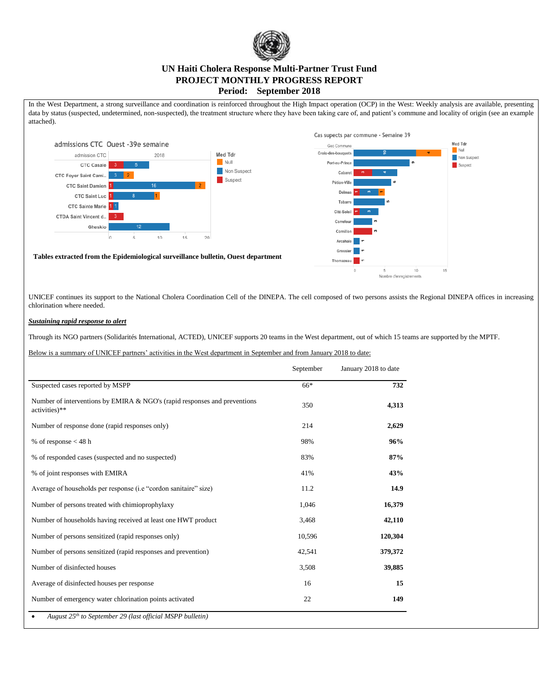

### **UN Haiti Cholera Response Multi-Partner Trust Fund PROJECT MONTHLY PROGRESS REPORT Period: September 2018**

In the West Department, a strong surveillance and coordination is reinforced throughout the High Impact operation (OCP) in the West: Weekly analysis are available, presenting data by status (suspected, undetermined, non-suspected), the treatment structure where they have been taking care of, and patient's commune and locality of origin (see an example attached).



UNICEF continues its support to the National Cholera Coordination Cell of the DINEPA. The cell composed of two persons assists the Regional DINEPA offices in increasing chlorination where needed.

### *Sustaining rapid response to alert*

Through its NGO partners (Solidarités International, ACTED), UNICEF supports 20 teams in the West department, out of which 15 teams are supported by the MPTF.

Below is a summary of UNICEF partners' activities in the West department in September and from January 2018 to date:

|                                                                                            | September | January 2018 to date |
|--------------------------------------------------------------------------------------------|-----------|----------------------|
| Suspected cases reported by MSPP                                                           | 66*       | 732                  |
| Number of interventions by EMIRA & NGO's (rapid responses and preventions<br>activities)** | 350       | 4,313                |
| Number of response done (rapid responses only)                                             | 214       | 2,629                |
| % of response $<$ 48 h                                                                     | 98%       | 96%                  |
| % of responded cases (suspected and no suspected)                                          | 83%       | 87%                  |
| % of joint responses with EMIRA                                                            | 41%       | 43%                  |
| Average of households per response (i.e "cordon sanitaire" size)                           | 11.2      | 14.9                 |
| Number of persons treated with chimioprophylaxy                                            | 1,046     | 16,379               |
| Number of households having received at least one HWT product                              | 3,468     | 42,110               |
| Number of persons sensitized (rapid responses only)                                        | 10,596    | 120,304              |
| Number of persons sensitized (rapid responses and prevention)                              | 42,541    | 379,372              |
| Number of disinfected houses                                                               | 3,508     | 39,885               |
| Average of disinfected houses per response                                                 | 16        | 15                   |
| Number of emergency water chlorination points activated                                    | 22        | 149                  |